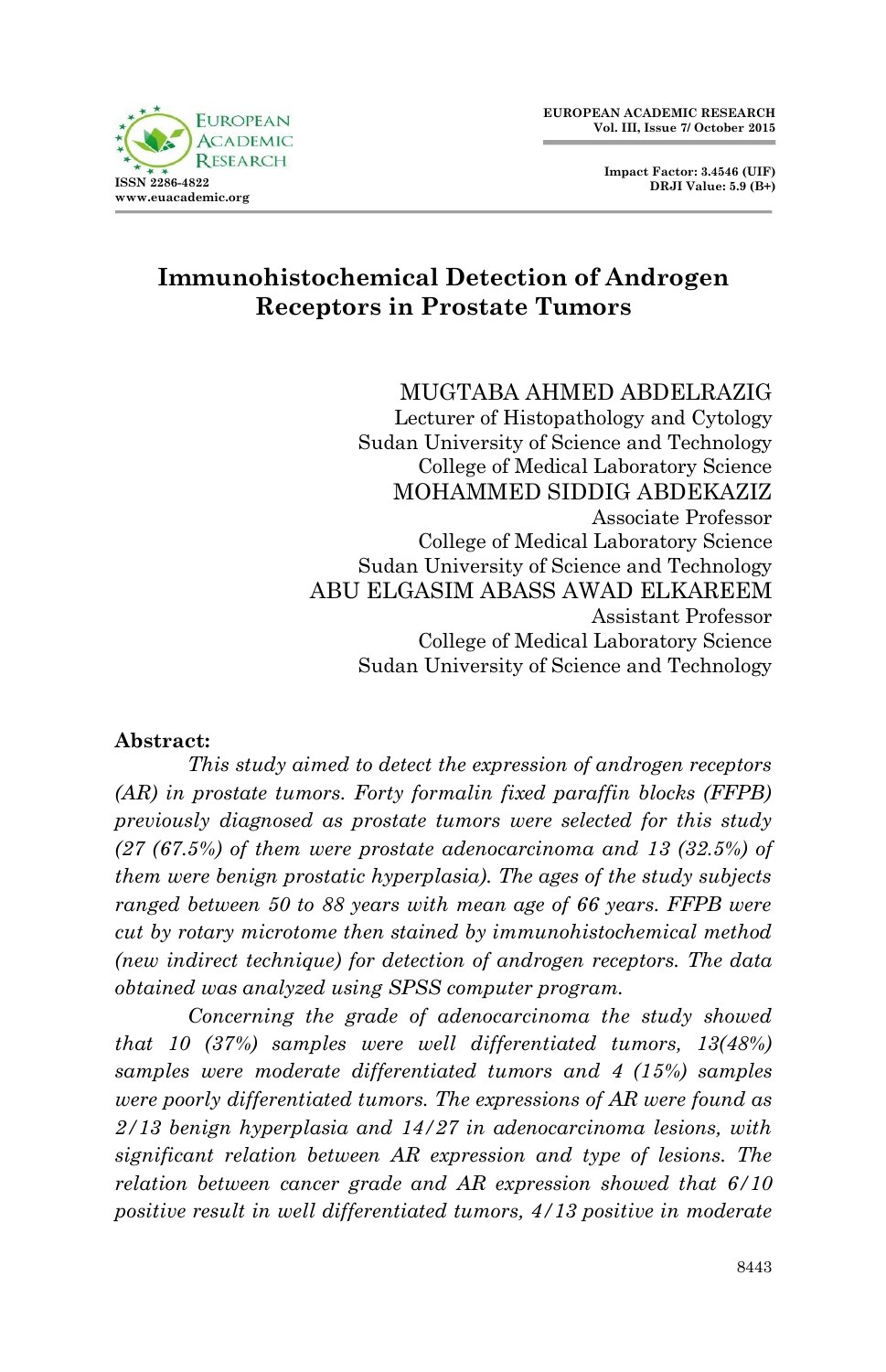

**Impact Factor: 3.4546 (UIF) DRJI Value: 5.9 (B+)**

# **Immunohistochemical Detection of Androgen Receptors in Prostate Tumors**

MUGTABA AHMED ABDELRAZIG

Lecturer of Histopathology and Cytology Sudan University of Science and Technology College of Medical Laboratory Science MOHAMMED SIDDIG ABDEKAZIZ Associate Professor College of Medical Laboratory Science Sudan University of Science and Technology ABU ELGASIM ABASS AWAD ELKAREEM Assistant Professor College of Medical Laboratory Science Sudan University of Science and Technology

#### **Abstract:**

*This study aimed to detect the expression of androgen receptors (AR) in prostate tumors. Forty formalin fixed paraffin blocks (FFPB) previously diagnosed as prostate tumors were selected for this study (27 (67.5%) of them were prostate adenocarcinoma and 13 (32.5%) of them were benign prostatic hyperplasia). The ages of the study subjects ranged between 50 to 88 years with mean age of 66 years. FFPB were cut by rotary microtome then stained by immunohistochemical method (new indirect technique) for detection of androgen receptors. The data obtained was analyzed using SPSS computer program.*

*Concerning the grade of adenocarcinoma the study showed that 10 (37%) samples were well differentiated tumors, 13(48%) samples were moderate differentiated tumors and 4 (15%) samples were poorly differentiated tumors. The expressions of AR were found as 2/13 benign hyperplasia and 14/27 in adenocarcinoma lesions, with significant relation between AR expression and type of lesions. The relation between cancer grade and AR expression showed that 6/10 positive result in well differentiated tumors, 4/13 positive in moderate*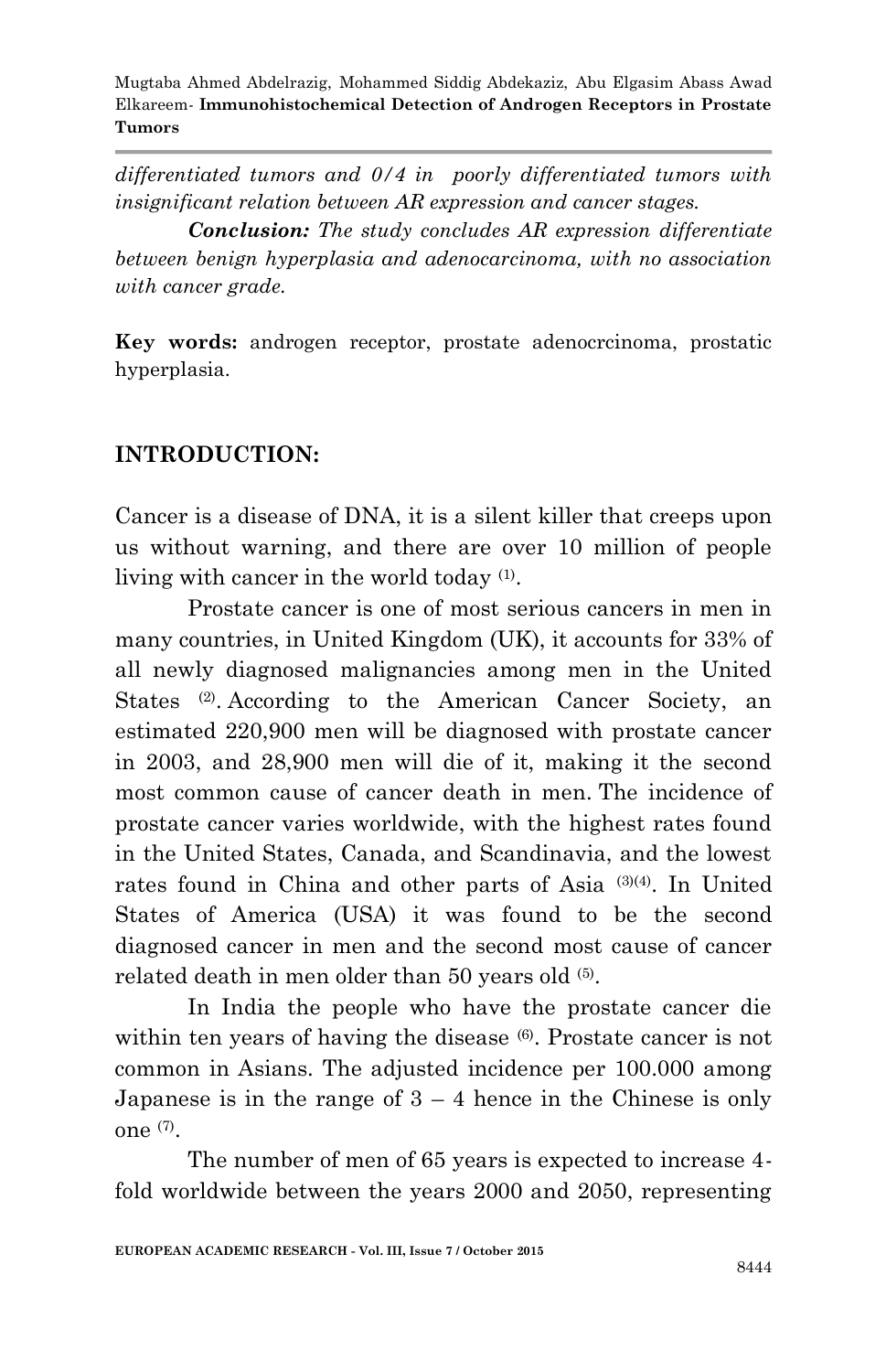*differentiated tumors and 0/4 in poorly differentiated tumors with insignificant relation between AR expression and cancer stages.*

*Conclusion: The study concludes AR expression differentiate between benign hyperplasia and adenocarcinoma, with no association with cancer grade.*

**Key words:** androgen receptor, prostate adenocrcinoma, prostatic hyperplasia.

# **INTRODUCTION:**

Cancer is a disease of DNA, it is a silent killer that creeps upon us without warning, and there are over 10 million of people living with cancer in the world today (1).

Prostate cancer is one of most serious cancers in men in many countries, in United Kingdom (UK), it accounts for 33% of all newly diagnosed malignancies among men in the United States (2). According to the American Cancer Society, an estimated 220,900 men will be diagnosed with prostate cancer in 2003, and 28,900 men will die of it, making it the second most common cause of cancer death in men. The incidence of prostate cancer varies worldwide, with the highest rates found in the United States, Canada, and Scandinavia, and the lowest rates found in China and other parts of Asia (3)(4). In United States of America (USA) it was found to be the second diagnosed cancer in men and the second most cause of cancer related death in men older than 50 years old (5).

In India the people who have the prostate cancer die within ten years of having the disease  $(6)$ . Prostate cancer is not common in Asians. The adjusted incidence per 100.000 among Japanese is in the range of  $3 - 4$  hence in the Chinese is only one (7) .

The number of men of 65 years is expected to increase 4 fold worldwide between the years 2000 and 2050, representing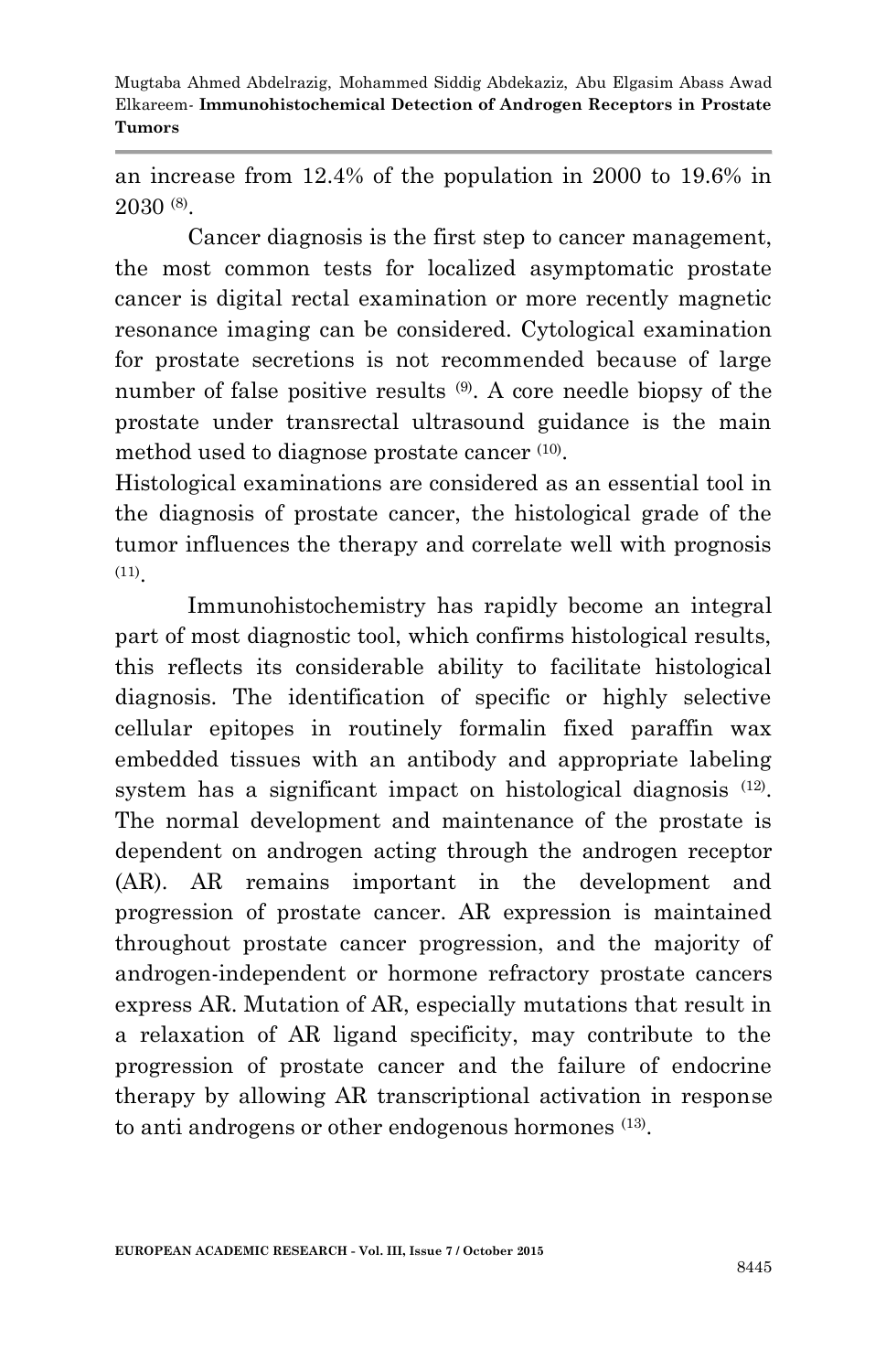an increase from 12.4% of the population in 2000 to 19.6% in 2030 (8) .

Cancer diagnosis is the first step to cancer management, the most common tests for localized asymptomatic prostate cancer is digital rectal examination or more recently magnetic resonance imaging can be considered. Cytological examination for prostate secretions is not recommended because of large number of false positive results (9). A core needle biopsy of the prostate under transrectal ultrasound guidance is the main method used to diagnose prostate cancer (10) .

Histological examinations are considered as an essential tool in the diagnosis of prostate cancer, the histological grade of the tumor influences the therapy and correlate well with prognosis (11) .

Immunohistochemistry has rapidly become an integral part of most diagnostic tool, which confirms histological results, this reflects its considerable ability to facilitate histological diagnosis. The identification of specific or highly selective cellular epitopes in routinely formalin fixed paraffin wax embedded tissues with an antibody and appropriate labeling system has a significant impact on histological diagnosis  $(12)$ . The normal development and maintenance of the prostate is dependent on androgen acting through the androgen receptor (AR). AR remains important in the development and progression of prostate cancer. AR expression is maintained throughout prostate cancer progression, and the majority of androgen-independent or hormone refractory prostate cancers express AR. Mutation of AR, especially mutations that result in a relaxation of AR ligand specificity, may contribute to the progression of prostate cancer and the failure of endocrine therapy by allowing AR transcriptional activation in response to anti androgens or other endogenous hormones (13).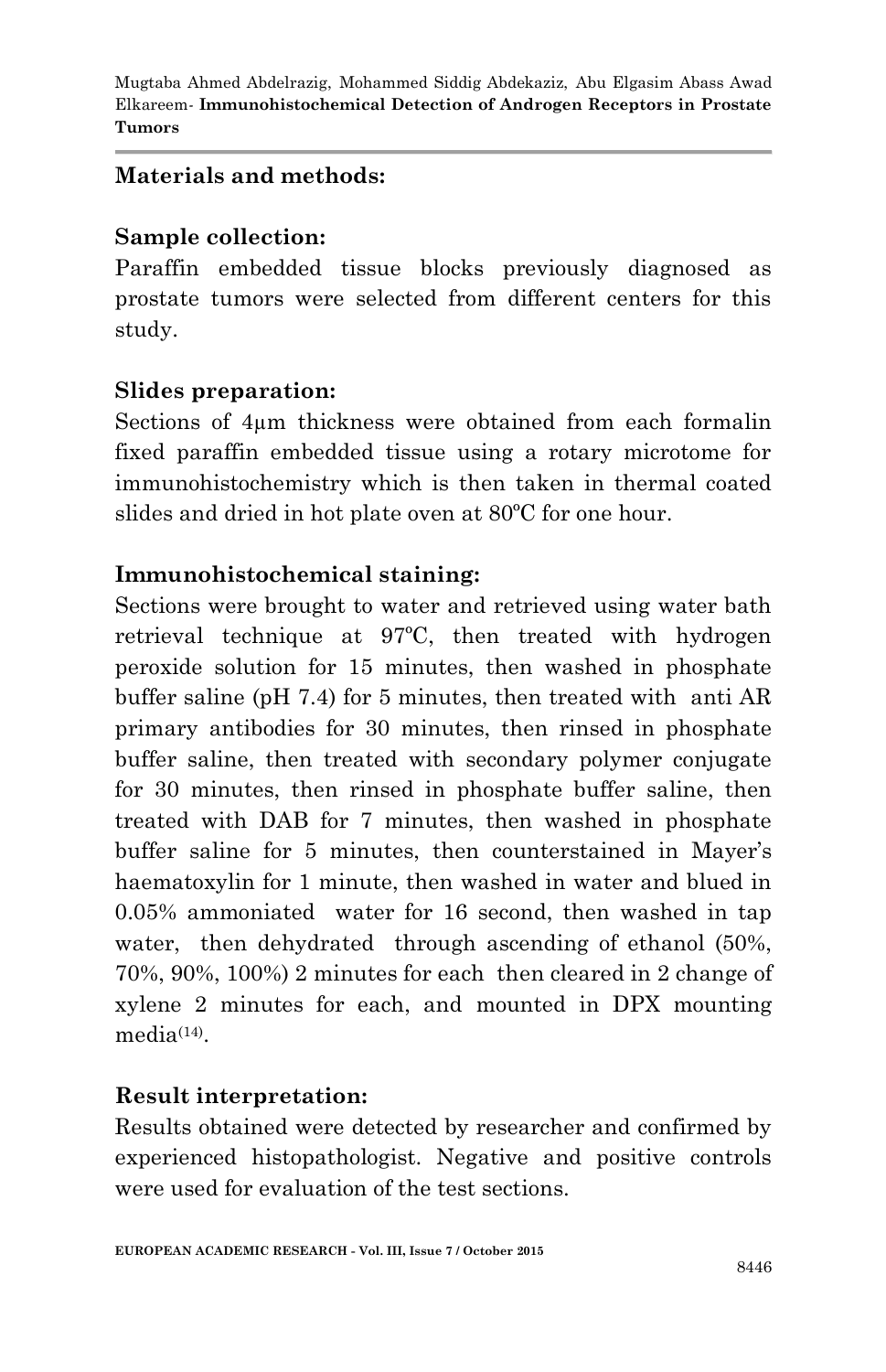#### **Materials and methods:**

#### **Sample collection:**

Paraffin embedded tissue blocks previously diagnosed as prostate tumors were selected from different centers for this study.

# **Slides preparation:**

Sections of 4µm thickness were obtained from each formalin fixed paraffin embedded tissue using a rotary microtome for immunohistochemistry which is then taken in thermal coated slides and dried in hot plate oven at 80ºC for one hour.

#### **Immunohistochemical staining:**

Sections were brought to water and retrieved using water bath retrieval technique at 97ºC, then treated with hydrogen peroxide solution for 15 minutes, then washed in phosphate buffer saline (pH 7.4) for 5 minutes, then treated with anti AR primary antibodies for 30 minutes, then rinsed in phosphate buffer saline, then treated with secondary polymer conjugate for 30 minutes, then rinsed in phosphate buffer saline, then treated with DAB for 7 minutes, then washed in phosphate buffer saline for 5 minutes, then counterstained in Mayer's haematoxylin for 1 minute, then washed in water and blued in 0.05% ammoniated water for 16 second, then washed in tap water, then dehydrated through ascending of ethanol  $(50\%,$ 70%, 90%, 100%) 2 minutes for each then cleared in 2 change of xylene 2 minutes for each, and mounted in DPX mounting media<sup>(14)</sup>.

# **Result interpretation:**

Results obtained were detected by researcher and confirmed by experienced histopathologist. Negative and positive controls were used for evaluation of the test sections.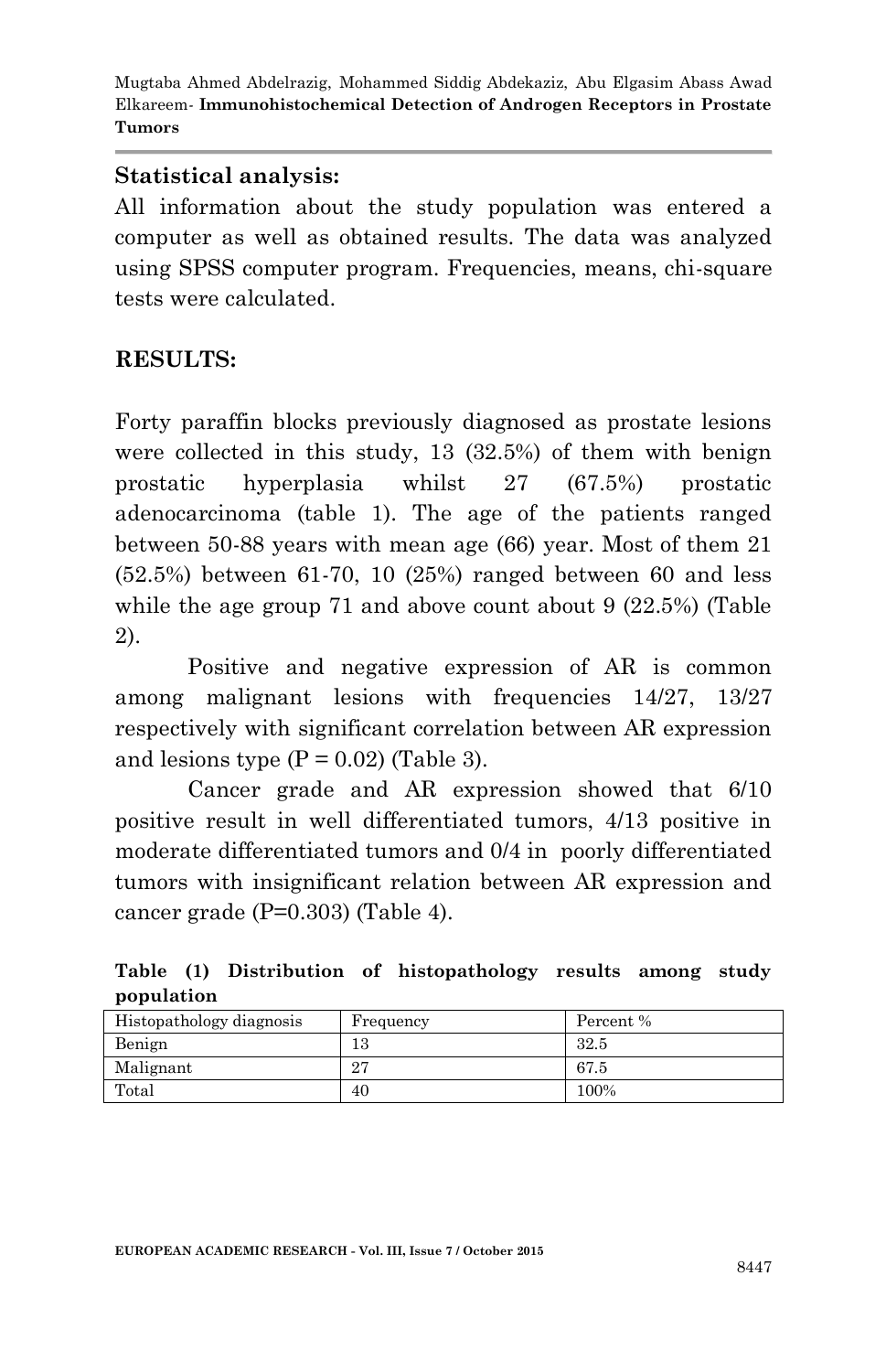#### **Statistical analysis:**

All information about the study population was entered a computer as well as obtained results. The data was analyzed using SPSS computer program. Frequencies, means, chi-square tests were calculated.

# **RESULTS:**

Forty paraffin blocks previously diagnosed as prostate lesions were collected in this study, 13 (32.5%) of them with benign prostatic hyperplasia whilst 27 (67.5%) prostatic adenocarcinoma (table 1). The age of the patients ranged between 50-88 years with mean age (66) year. Most of them 21 (52.5%) between 61-70, 10 (25%) ranged between 60 and less while the age group 71 and above count about 9 (22.5%) (Table 2).

Positive and negative expression of AR is common among malignant lesions with frequencies 14/27, 13/27 respectively with significant correlation between AR expression and lesions type  $(P = 0.02)$  (Table 3).

Cancer grade and AR expression showed that 6/10 positive result in well differentiated tumors, 4/13 positive in moderate differentiated tumors and 0/4 in poorly differentiated tumors with insignificant relation between AR expression and cancer grade (P=0.303) (Table 4).

|            |  | Table (1) Distribution of histopathology results among study |  |  |
|------------|--|--------------------------------------------------------------|--|--|
| population |  |                                                              |  |  |

| Histopathology diagnosis | Frequency | Percent % |
|--------------------------|-----------|-----------|
| Benign                   | 13        | 32.5      |
| Malignant                | 27        | 67.5      |
| Total                    | 40        | 100%      |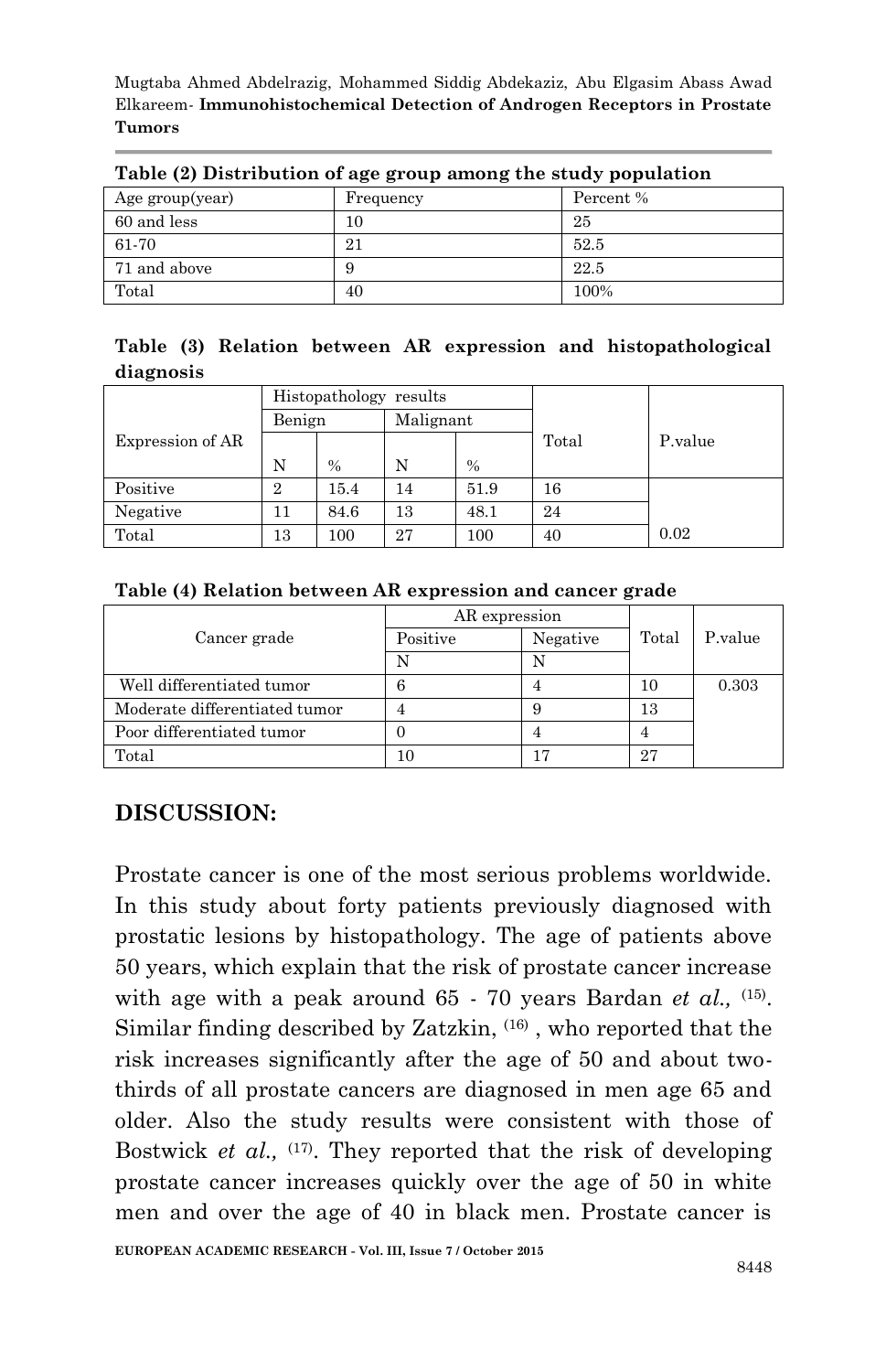| $1000$ ( $\bullet$ ) Distribution of age group among the state, population |           |           |  |  |  |  |  |
|----------------------------------------------------------------------------|-----------|-----------|--|--|--|--|--|
| Age group(year)                                                            | Frequency | Percent % |  |  |  |  |  |
| 60 and less                                                                | 10        | 25        |  |  |  |  |  |
| 61-70                                                                      | 21        | 52.5      |  |  |  |  |  |
| 71 and above                                                               |           | 22.5      |  |  |  |  |  |
| Total                                                                      | 40        | 100%      |  |  |  |  |  |

**Table (2) Distribution of age group among the study population**

|           |  |  |  | Table (3) Relation between AR expression and histopathological |
|-----------|--|--|--|----------------------------------------------------------------|
| diagnosis |  |  |  |                                                                |

|                  |                | Histopathology results |           |               |       |         |
|------------------|----------------|------------------------|-----------|---------------|-------|---------|
|                  | Benign         |                        | Malignant |               |       |         |
| Expression of AR |                |                        |           |               | Total | P.value |
|                  | N              | $\frac{0}{0}$          | N         | $\frac{0}{0}$ |       |         |
| Positive         | $\overline{2}$ | 15.4                   | 14        | 51.9          | 16    |         |
| Negative         | 11             | 84.6                   | 13        | 48.1          | 24    |         |
| Total            | 13             | 100                    | 27        | 100           | 40    | 0.02    |

#### **Table (4) Relation between AR expression and cancer grade**

|                               | AR expression |          |       |         |
|-------------------------------|---------------|----------|-------|---------|
| Cancer grade                  | Positive      | Negative | Total | P.value |
|                               |               |          |       |         |
| Well differentiated tumor     |               |          | 10    | 0.303   |
| Moderate differentiated tumor |               |          | 13    |         |
| Poor differentiated tumor     |               |          |       |         |
| $_{\rm Total}$                |               |          | 27    |         |

# **DISCUSSION:**

Prostate cancer is one of the most serious problems worldwide. In this study about forty patients previously diagnosed with prostatic lesions by histopathology. The age of patients above 50 years, which explain that the risk of prostate cancer increase with age with a peak around 65 - 70 years Bardan *et al.*, <sup>(15)</sup>. Similar finding described by Zatzkin,  $(16)$ , who reported that the risk increases significantly after the age of 50 and about twothirds of all prostate cancers are diagnosed in men age 65 and older. Also the study results were consistent with those of Bostwick *et al.*, <sup>(17)</sup>. They reported that the risk of developing prostate cancer increases quickly over the age of 50 in white men and over the age of 40 in black men. Prostate cancer is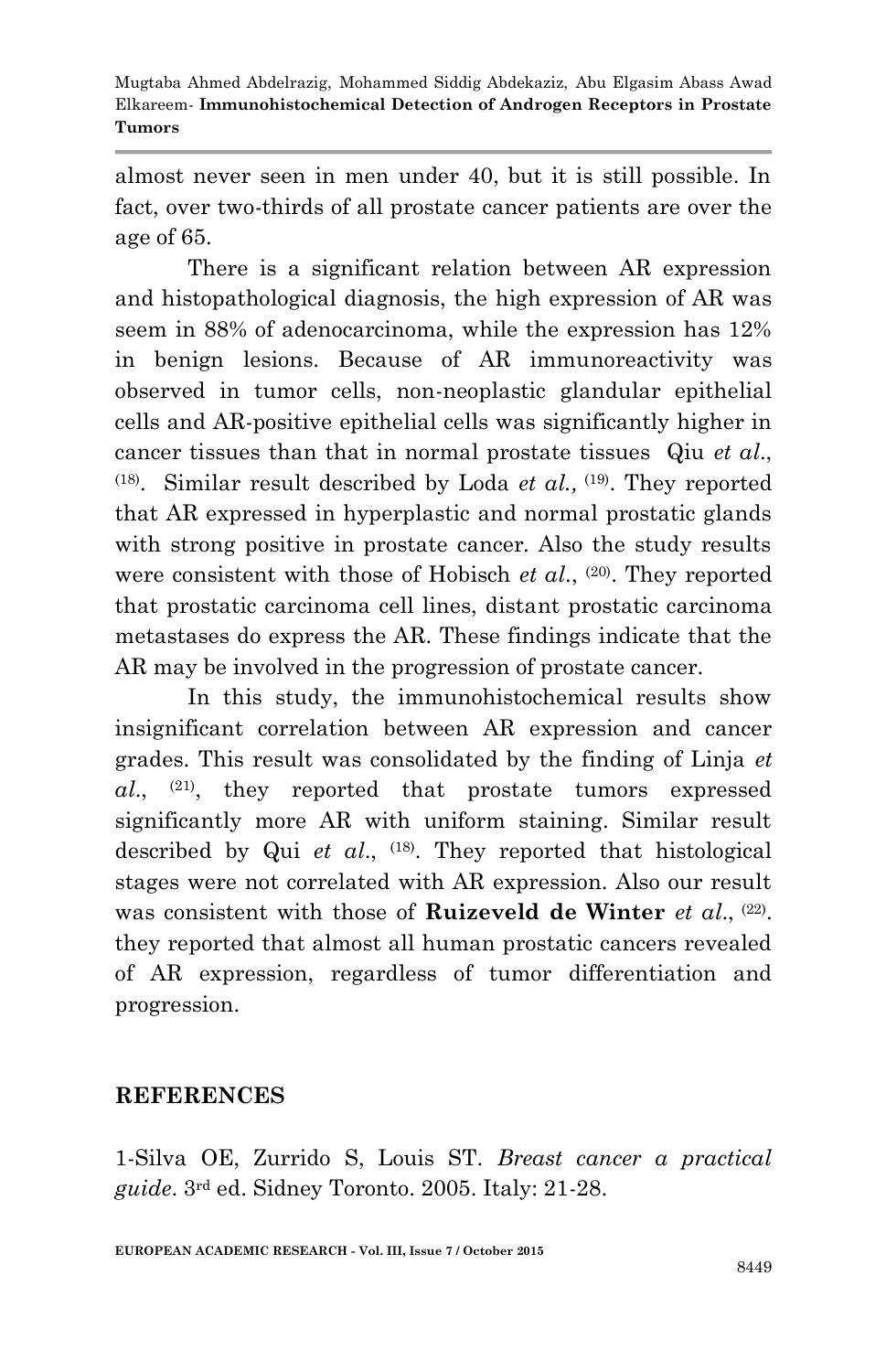almost never seen in men under 40, but it is still possible. In fact, over two-thirds of all prostate cancer patients are over the age of 65.

There is a significant relation between AR expression and histopathological diagnosis, the high expression of AR was seem in 88% of adenocarcinoma, while the expression has 12% in benign lesions. Because of AR immunoreactivity was observed in tumor cells, non-neoplastic glandular epithelial cells and AR-positive epithelial cells was significantly higher in cancer tissues than that in normal prostate tissues Qiu *et al*.,  $(18)$ . Similar result described by Loda *et al.*,  $(19)$ . They reported that AR expressed in hyperplastic and normal prostatic glands with strong positive in prostate cancer. Also the study results were consistent with those of Hobisch *et al.*, <sup>(20)</sup>. They reported that prostatic carcinoma cell lines, distant prostatic carcinoma metastases do express the AR. These findings indicate that the AR may be involved in the progression of prostate cancer.

In this study, the immunohistochemical results show insignificant correlation between AR expression and cancer grades. This result was consolidated by the finding of Linja *et al*., (21), they reported that prostate tumors expressed significantly more AR with uniform staining. Similar result described by Qui *et al*., (18). They reported that histological stages were not correlated with AR expression. Also our result was consistent with those of **Ruizeveld de Winter** *et al.*, <sup>(22)</sup>. they reported that almost all human prostatic cancers revealed of AR expression, regardless of tumor differentiation and progression.

#### **REFERENCES**

1-Silva OE, Zurrido S, Louis ST. *Breast cancer a practical guide*. 3rd ed. Sidney Toronto. 2005. Italy: 21-28.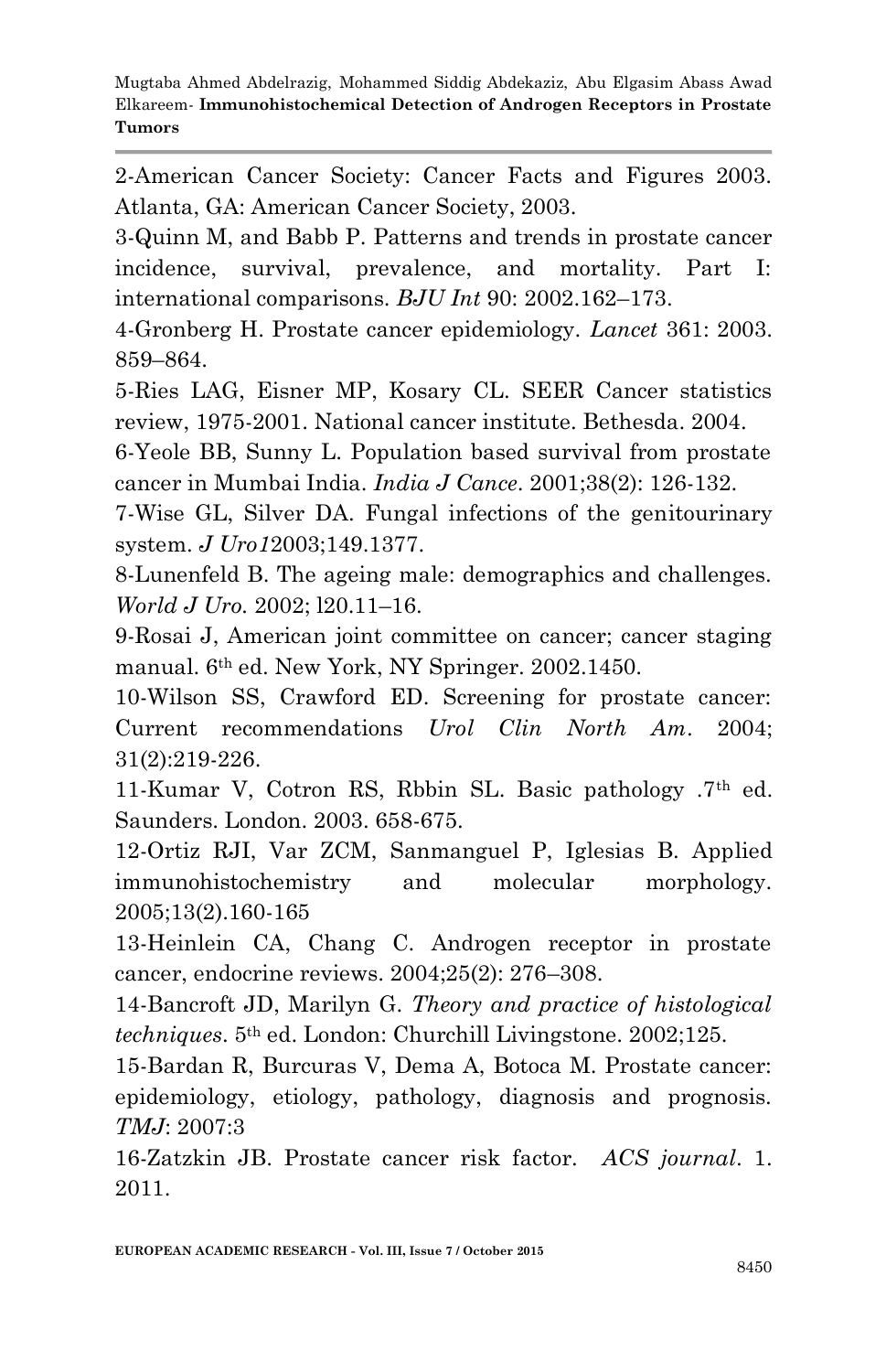2-American Cancer Society: Cancer Facts and Figures 2003. Atlanta, GA: American Cancer Society, 2003.

3-Quinn M, and Babb P. Patterns and trends in prostate cancer incidence, survival, prevalence, and mortality. Part I: international comparisons. *BJU Int* 90: 2002.162–173.

4-Gronberg H. Prostate cancer epidemiology. *Lancet* 361: 2003. 859–864.

5-Ries LAG, Eisner MP, Kosary CL. SEER Cancer statistics review, 1975-2001. National cancer institute. Bethesda. 2004.

6-Yeole BB, Sunny L. Population based survival from prostate cancer in Mumbai India. *India J Cance*. 2001;38(2): 126-132.

7-Wise GL, Silver DA. Fungal infections of the genitourinary system. *J Uro1*2003;149.1377.

8-Lunenfeld B. The ageing male: demographics and challenges. *World J Uro.* 2002; l20.11–16.

9-Rosai J, American joint committee on cancer; cancer staging manual. 6th ed. New York, NY Springer. 2002.1450.

10-Wilson SS, Crawford ED. Screening for prostate cancer: Current recommendations *Urol Clin North Am*. 2004; 31(2):219-226.

11-Kumar V, Cotron RS, Rbbin SL. Basic pathology .7<sup>th</sup> ed. Saunders. London. 2003. 658-675.

12-Ortiz RJI, Var ZCM, Sanmanguel P, Iglesias B. Applied immunohistochemistry and molecular morphology. 2005;13(2).160-165

13-Heinlein CA, Chang C. Androgen receptor in prostate cancer, endocrine reviews. 2004;25(2): 276–308.

14-Bancroft JD, Marilyn G. *Theory and practice of histological techniques*. 5th ed. London: Churchill Livingstone. 2002;125.

15-Bardan R, Burcuras V, Dema A, Botoca M. Prostate cancer: epidemiology, etiology, pathology, diagnosis and prognosis. *TMJ*: 2007:3

16-Zatzkin JB. Prostate cancer risk factor. *ACS journal*. 1. 2011.